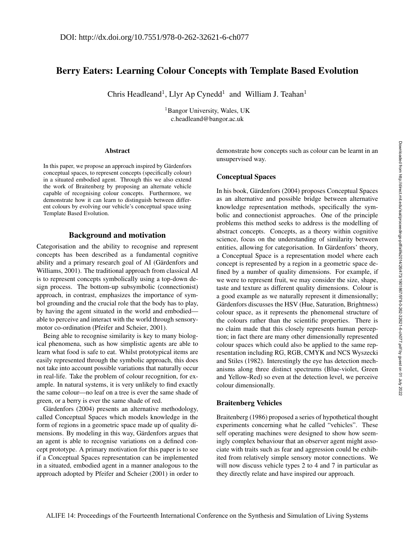# Berry Eaters: Learning Colour Concepts with Template Based Evolution

Chris Headleand<sup>1</sup>, Llyr Ap Cynedd<sup>1</sup> and William J. Teahan<sup>1</sup>

<sup>1</sup>Bangor University, Wales, UK c.headleand@bangor.ac.uk

#### Abstract

In this paper, we propose an approach inspired by Gärdenfors conceptual spaces, to represent concepts (specifically colour) in a situated embodied agent. Through this we also extend the work of Braitenberg by proposing an alternate vehicle capable of recognising colour concepts. Furthermore, we demonstrate how it can learn to distinguish between different colours by evolving our vehicle's conceptual space using Template Based Evolution.

## Background and motivation

Categorisation and the ability to recognise and represent concepts has been described as a fundamental cognitive ability and a primary research goal of AI (Gärdenfors and Williams, 2001). The traditional approach from classical AI is to represent concepts symbolically using a top-down design process. The bottom-up subsymbolic (connectionist) approach, in contrast, emphasizes the importance of symbol grounding and the crucial role that the body has to play, by having the agent situated in the world and embodied able to perceive and interact with the world through sensorymotor co-ordination (Pfeifer and Scheier, 2001).

Being able to recognise similarity is key to many biological phenomena, such as how simplistic agents are able to learn what food is safe to eat. Whilst prototypical items are easily represented through the symbolic approach, this does not take into account possible variations that naturally occur in real-life. Take the problem of colour recognition, for example. In natural systems, it is very unlikely to find exactly the same colour—no leaf on a tree is ever the same shade of green, or a berry is ever the same shade of red.

Gärdenfors (2004) presents an alternative methodology, called Conceptual Spaces which models knowledge in the form of regions in a geometric space made up of quality dimensions. By modeling in this way, Gärdenfors argues that an agent is able to recognise variations on a defined concept prototype. A primary motivation for this paper is to see if a Conceptual Spaces representation can be implemented in a situated, embodied agent in a manner analogous to the approach adopted by Pfeifer and Scheier (2001) in order to demonstrate how concepts such as colour can be learnt in an unsupervised way.

#### Conceptual Spaces

In his book, Gärdenfors (2004) proposes Conceptual Spaces as an alternative and possible bridge between alternative knowledge representation methods, specifically the symbolic and connectionist approaches. One of the principle problems this method seeks to address is the modelling of abstract concepts. Concepts, as a theory within cognitive science, focus on the understanding of similarity between entities, allowing for categorisation. In Gärdenfors' theory, a Conceptual Space is a representation model where each concept is represented by a region in a geometric space defined by a number of quality dimensions. For example, if we were to represent fruit, we may consider the size, shape, taste and texture as different quality dimensions. Colour is a good example as we naturally represent it dimensionally; Gärdenfors discusses the HSV (Hue, Saturation, Brightness) colour space, as it represents the phenomenal structure of the colours rather than the scientific properties. There is no claim made that this closely represents human perception; in fact there are many other dimensionally represented colour spaces which could also be applied to the same representation including RG, RGB, CMYK and NCS Wyszecki and Stiles (1982). Interestingly the eye has detection mechanisms along three distinct spectrums (Blue-violet, Green and Yellow-Red) so even at the detection level, we perceive colour dimensionally.

### Braitenberg Vehicles

Braitenberg (1986) proposed a series of hypothetical thought experiments concerning what he called "vehicles". These self operating machines were designed to show how seemingly complex behaviour that an observer agent might associate with traits such as fear and aggression could be exhibited from relatively simple sensory motor connections. We will now discuss vehicle types 2 to 4 and 7 in particular as they directly relate and have inspired our approach.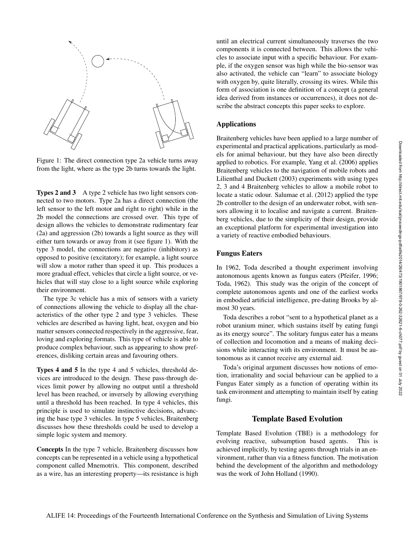

Figure 1: The direct connection type 2a vehicle turns away from the light, where as the type 2b turns towards the light.

Types 2 and 3 A type 2 vehicle has two light sensors connected to two motors. Type 2a has a direct connection (the left sensor to the left motor and right to right) while in the 2b model the connections are crossed over. This type of design allows the vehicles to demonstrate rudimentary fear (2a) and aggression (2b) towards a light source as they will either turn towards or away from it (see figure 1). With the type 3 model, the connections are negative (inhibitory) as opposed to positive (excitatory); for example, a light source will slow a motor rather than speed it up. This produces a more gradual effect, vehicles that circle a light source, or vehicles that will stay close to a light source while exploring their environment.

The type 3c vehicle has a mix of sensors with a variety of connections allowing the vehicle to display all the characteristics of the other type 2 and type 3 vehicles. These vehicles are described as having light, heat, oxygen and bio matter sensors connected respectively in the aggressive, fear, loving and exploring formats. This type of vehicle is able to produce complex behaviour, such as appearing to show preferences, disliking certain areas and favouring others.

Types 4 and 5 In the type 4 and 5 vehicles, threshold devices are introduced to the design. These pass-through devices limit power by allowing no output until a threshold level has been reached, or inversely by allowing everything until a threshold has been reached. In type 4 vehicles, this principle is used to simulate instinctive decisions, advancing the base type 3 vehicles. In type 5 vehicles, Braitenberg discusses how these thresholds could be used to develop a simple logic system and memory.

Concepts In the type 7 vehicle, Braitenberg discusses how concepts can be represented in a vehicle using a hypothetical component called Mnemotrix. This component, described as a wire, has an interesting property—its resistance is high

until an electrical current simultaneously traverses the two components it is connected between. This allows the vehicles to associate input with a specific behaviour. For example, if the oxygen sensor was high while the bio-sensor was also activated, the vehicle can "learn" to associate biology with oxygen by, quite literally, crossing its wires. While this form of association is one definition of a concept (a general idea derived from instances or occurrences), it does not describe the abstract concepts this paper seeks to explore.

### Applications

Braitenberg vehicles have been applied to a large number of experimental and practical applications, particularly as models for animal behaviour, but they have also been directly applied to robotics. For example, Yang et al. (2006) applies Braitenberg vehicles to the navigation of mobile robots and Lilienthal and Duckett (2003) experiments with using types 2, 3 and 4 Braitenberg vehicles to allow a mobile robot to locate a static odour. Salumae et al. (2012) applied the type 2b controller to the design of an underwater robot, with sensors allowing it to localise and navigate a current. Braitenberg vehicles, due to the simplicity of their design, provide an exceptional platform for experimental investigation into a variety of reactive embodied behaviours.

#### Fungus Eaters

In 1962, Toda described a thought experiment involving autonomous agents known as fungus eaters (Pfeifer, 1996; Toda, 1962). This study was the origin of the concept of complete autonomous agents and one of the earliest works in embodied artificial intelligence, pre-dating Brooks by almost 30 years.

Toda describes a robot "sent to a hypothetical planet as a robot uranium miner, which sustains itself by eating fungi as its energy source". The solitary fungus eater has a means of collection and locomotion and a means of making decisions while interacting with its environment. It must be autonomous as it cannot receive any external aid.

Toda's original argument discusses how notions of emotion, irrationality and social behaviour can be applied to a Fungus Eater simply as a function of operating within its task environment and attempting to maintain itself by eating fungi.

#### Template Based Evolution

Template Based Evolution (TBE) is a methodology for evolving reactive, subsumption based agents. This is achieved implicitly, by testing agents through trials in an environment, rather than via a fitness function. The motivation behind the development of the algorithm and methodology was the work of John Holland (1990).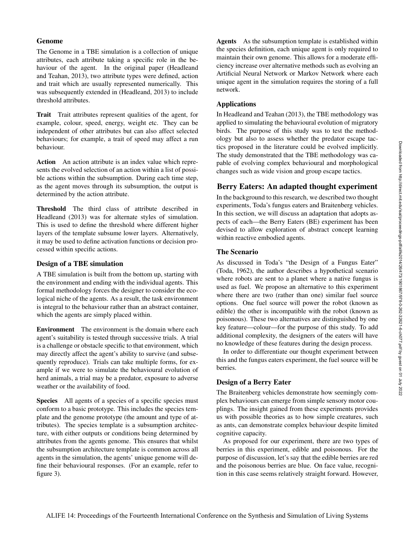# Genome

The Genome in a TBE simulation is a collection of unique attributes, each attribute taking a specific role in the behaviour of the agent. In the original paper (Headleand and Teahan, 2013), two attribute types were defined, action and trait which are usually represented numerically. This was subsequently extended in (Headleand, 2013) to include threshold attributes.

Trait Trait attributes represent qualities of the agent, for example, colour, speed, energy, weight etc. They can be independent of other attributes but can also affect selected behaviours; for example, a trait of speed may affect a run behaviour.

Action An action attribute is an index value which represents the evolved selection of an action within a list of possible actions within the subsumption. During each time step, as the agent moves through its subsumption, the output is determined by the action attribute.

Threshold The third class of attribute described in Headleand (2013) was for alternate styles of simulation. This is used to define the threshold where different higher layers of the template subsume lower layers. Alternatively, it may be used to define activation functions or decision processed within specific actions.

# Design of a TBE simulation

A TBE simulation is built from the bottom up, starting with the environment and ending with the individual agents. This formal methodology forces the designer to consider the ecological niche of the agents. As a result, the task environment is integral to the behaviour rather than an abstract container, which the agents are simply placed within.

Environment The environment is the domain where each agent's suitability is tested through successive trials. A trial is a challenge or obstacle specific to that environment, which may directly affect the agent's ability to survive (and subsequently reproduce). Trials can take multiple forms, for example if we were to simulate the behavioural evolution of herd animals, a trial may be a predator, exposure to adverse weather or the availability of food.

Species All agents of a species of a specific species must conform to a basic prototype. This includes the species template and the genome prototype (the amount and type of attributes). The species template is a subsumption architecture, with either outputs or conditions being determined by attributes from the agents genome. This ensures that whilst the subsumption architecture template is common across all agents in the simulation, the agents' unique genome will define their behavioural responses. (For an example, refer to figure 3).

Agents As the subsumption template is established within the species definition, each unique agent is only required to maintain their own genome. This allows for a moderate efficiency increase over alternative methods such as evolving an Artificial Neural Network or Markov Network where each unique agent in the simulation requires the storing of a full network.

# Applications

In Headleand and Teahan (2013), the TBE methodology was applied to simulating the behavioural evolution of migratory birds. The purpose of this study was to test the methodology but also to assess whether the predator escape tactics proposed in the literature could be evolved implicitly. The study demonstrated that the TBE methodology was capable of evolving complex behavioural and morphological changes such as wide vision and group escape tactics.

# Berry Eaters: An adapted thought experiment

In the background to this research, we described two thought experiments, Toda's fungus eaters and Braitenberg vehicles. In this section, we will discuss an adaptation that adopts aspects of each—the Berry Eaters (BE) experiment has been devised to allow exploration of abstract concept learning within reactive embodied agents.

# The Scenario

As discussed in Toda's "the Design of a Fungus Eater" (Toda, 1962), the author describes a hypothetical scenario where robots are sent to a planet where a native fungus is used as fuel. We propose an alternative to this experiment where there are two (rather than one) similar fuel source options. One fuel source will power the robot (known as edible) the other is incompatible with the robot (known as poisonous). These two alternatives are distinguished by one key feature—colour—for the purpose of this study. To add additional complexity, the designers of the eaters will have no knowledge of these features during the design process.

In order to differentiate our thought experiment between this and the fungus eaters experiment, the fuel source will be berries.

# Design of a Berry Eater

The Braitenberg vehicles demonstrate how seemingly complex behaviours can emerge from simple sensory motor couplings. The insight gained from these experiments provides us with possible theories as to how simple creatures, such as ants, can demonstrate complex behaviour despite limited cognitive capacity.

As proposed for our experiment, there are two types of berries in this experiment, edible and poisonous. For the purpose of discussion, let's say that the edible berries are red and the poisonous berries are blue. On face value, recognition in this case seems relatively straight forward. However,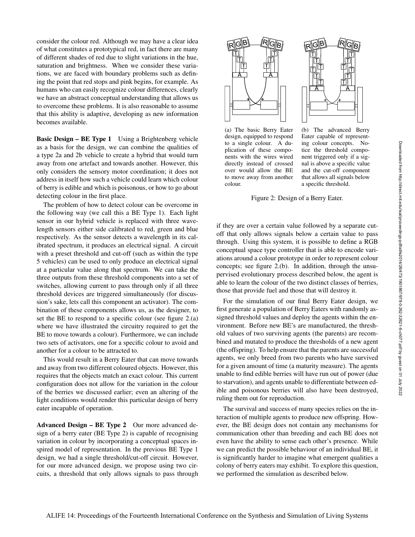consider the colour red. Although we may have a clear idea of what constitutes a prototypical red, in fact there are many of different shades of red due to slight variations in the hue, saturation and brightness. When we consider these variations, we are faced with boundary problems such as defining the point that red stops and pink begins, for example. As humans who can easily recognize colour differences, clearly we have an abstract conceptual understanding that allows us to overcome these problems. It is also reasonable to assume that this ability is adaptive, developing as new information becomes available.

Basic Design – BE Type 1 Using a Brightenberg vehicle as a basis for the design, we can combine the qualities of a type 2a and 2b vehicle to create a hybrid that would turn away from one artefact and towards another. However, this only considers the sensory motor coordination; it does not address in itself how such a vehicle could learn which colour of berry is edible and which is poisonous, or how to go about detecting colour in the first place.

The problem of how to detect colour can be overcome in the following way (we call this a BE Type 1). Each light sensor in our hybrid vehicle is replaced with three wavelength sensors either side calibrated to red, green and blue respectively. As the sensor detects a wavelength in its calibrated spectrum, it produces an electrical signal. A circuit with a preset threshold and cut-off (such as within the type 5 vehicles) can be used to only produce an electrical signal at a particular value along that spectrum. We can take the three outputs from these threshold components into a set of switches, allowing current to pass through only if all three threshold devices are triggered simultaneously (for discussion's sake, lets call this component an activator). The combination of these components allows us, as the designer, to set the BE to respond to a specific colour (see figure 2.(a) where we have illustrated the circuitry required to get the BE to move towards a colour). Furthermore, we can include two sets of activators, one for a specific colour to avoid and another for a colour to be attracted to.

This would result in a Berry Eater that can move towards and away from two different coloured objects. However, this requires that the objects match an exact colour. This current configuration does not allow for the variation in the colour of the berries we discussed earlier; even an altering of the light conditions would render this particular design of berry eater incapable of operation.

Advanced Design – BE Type 2 Our more advanced design of a berry eater (BE Type 2) is capable of recognising variation in colour by incorporating a conceptual spaces inspired model of representation. In the previous BE Type 1 design, we had a single threshold/cut-off circuit. However, for our more advanced design, we propose using two circuits, a threshold that only allows signals to pass through





(a) The basic Berry Eater design, equipped to respond to a single colour. A duplication of these components with the wires wired directly instead of crossed over would allow the BE to move away from another colour.

(b) The advanced Berry Eater capable of representing colour concepts. Notice the threshold component triggered only if a signal is above a specific value and the cut-off component that allows all signals below a specific threshold.

Figure 2: Design of a Berry Eater.

if they are over a certain value followed by a separate cutoff that only allows signals below a certain value to pass through. Using this system, it is possible to define a RGB conceptual space type controller that is able to encode variations around a colour prototype in order to represent colour concepts; see figure 2.(b). In addition, through the unsupervised evolutionary process described below, the agent is able to learn the colour of the two distinct classes of berries, those that provide fuel and those that will destroy it.

For the simulation of our final Berry Eater design, we first generate a population of Berry Eaters with randomly assigned threshold values and deploy the agents within the environment. Before new BE's are manufactured, the threshold values of two surviving agents (the parents) are recombined and mutated to produce the thresholds of a new agent (the offspring). To help ensure that the parents are successful agents, we only breed from two parents who have survived for a given amount of time (a maturity measure). The agents unable to find edible berries will have run out of power (due to starvation), and agents unable to differentiate between edible and poisonous berries will also have been destroyed, ruling them out for reproduction.

The survival and success of many species relies on the interaction of multiple agents to produce new offspring. However, the BE design does not contain any mechanisms for communication other than breeding and each BE does not even have the ability to sense each other's presence. While we can predict the possible behaviour of an individual BE, it is significantly harder to imagine what emergent qualities a colony of berry eaters may exhibit. To explore this question, we performed the simulation as described below.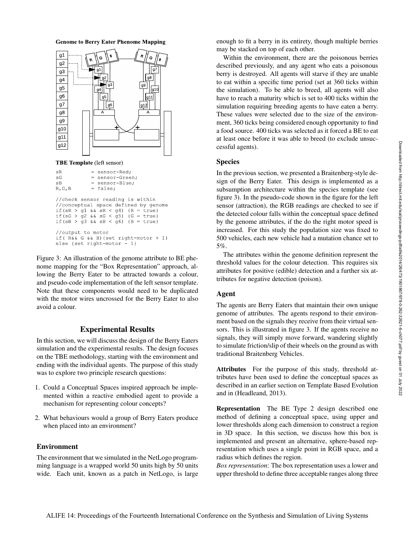

```
//output to motor
if (R\&&G\&&B) {set right-motor + 1}
else {set right-motor - 1}
```
Figure 3: An illustration of the genome attribute to BE phenome mapping for the "Box Representation" approach, allowing the Berry Eater to be attracted towards a colour, and pseudo-code implementation of the left sensor template. Note that these components would need to be duplicated with the motor wires uncrossed for the Berry Eater to also avoid a colour.

### Experimental Results

In this section, we will discuss the design of the Berry Eaters simulation and the experimental results. The design focuses on the TBE methodology, starting with the environment and ending with the individual agents. The purpose of this study was to explore two principle research questions:

- 1. Could a Conceptual Spaces inspired approach be implemented within a reactive embodied agent to provide a mechanism for representing colour concepts?
- 2. What behaviours would a group of Berry Eaters produce when placed into an environment?

### Environment

The environment that we simulated in the NetLogo programming language is a wrapped world 50 units high by 50 units wide. Each unit, known as a patch in NetLogo, is large enough to fit a berry in its entirety, though multiple berries may be stacked on top of each other.

Within the environment, there are the poisonous berries described previously, and any agent who eats a poisonous berry is destroyed. All agents will starve if they are unable to eat within a specific time period (set at 360 ticks within the simulation). To be able to breed, all agents will also have to reach a maturity which is set to 400 ticks within the simulation requiring breeding agents to have eaten a berry. These values were selected due to the size of the environment, 360 ticks being considered enough opportunity to find a food source. 400 ticks was selected as it forced a BE to eat at least once before it was able to breed (to exclude unsuccessful agents).

#### **Species**

In the previous section, we presented a Braitenberg-style design of the Berry Eater. This design is implemented as a subsumption architecture within the species template (see figure 3). In the pseudo-code shown in the figure for the left sensor (attraction), the RGB readings are checked to see if the detected colour falls within the conceptual space defined by the genome attributes, if the do the right motor speed is increased. For this study the population size was fixed to 500 vehicles, each new vehicle had a mutation chance set to 5%.

The attributes within the genome definition represent the threshold values for the colour detection. This requires six attributes for positive (edible) detection and a further six attributes for negative detection (poison).

### Agent

The agents are Berry Eaters that maintain their own unique genome of attributes. The agents respond to their environment based on the signals they receive from their virtual sensors. This is illustrated in figure 3. If the agents receive no signals, they will simply move forward, wandering slightly to simulate friction/slip of their wheels on the ground as with traditional Braitenberg Vehicles.

Attributes For the purpose of this study, threshold attributes have been used to define the conceptual spaces as described in an earlier section on Template Based Evolution and in (Headleand, 2013).

Representation The BE Type 2 design described one method of defining a conceptual space, using upper and lower thresholds along each dimension to construct a region in 3D space. In this section, we discuss how this box is implemented and present an alternative, sphere-based representation which uses a single point in RGB space, and a radius which defines the region.

*Box representation*: The box representation uses a lower and upper threshold to define three acceptable ranges along three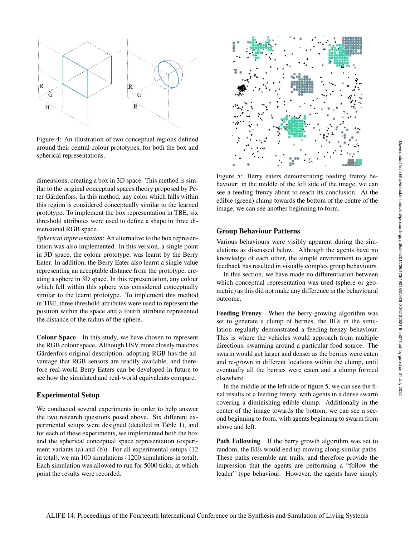

Figure 4: An illustration of two conceptual regions defined around their central colour prototypes, for both the box and spherical representations.

dimensions, creating a box in 3D space. This method is similar to the original conceptual spaces theory proposed by Peter Gärdenfors. In this method, any color which falls within this region is considered conceptually similar to the learned prototype. To implement the box representation in TBE, six threshold attributes were used to define a shape in three dimensional RGB space.

*Spherical representation*: An alternative to the box representation was also implemented. In this version, a single point in 3D space, the colour prototype, was learnt by the Berry Eater. In addition, the Berry Eater also learnt a single value representing an acceptable distance from the prototype, creating a sphere in 3D space. In this representation, any colour which fell within this sphere was considered conceptually similar to the learnt prototype. To implement this method in TBE, three threshold attributes were used to represent the position within the space and a fourth attribute represented the distance of the radius of the sphere.

Colour Space In this study, we have chosen to represent the RGB colour space. Although HSV more closely matches Gärdenfors original description, adopting RGB has the advantage that RGB sensors are readily available, and therefore real-world Berry Eaters can be developed in future to see how the simulated and real-world equivalents compare.

### Experimental Setup

We conducted several experiments in order to help answer the two research questions posed above. Six different experimental setups were designed (detailed in Table 1), and for each of these experiments, we implemented both the box and the spherical conceptual space representation (experiment variants (a) and (b)). For all experimental setups (12 in total), we ran 100 simulations (1200 simulations in total). Each simulation was allowed to run for 5000 ticks, at which point the results were recorded.



Figure 5: Berry eaters demonstrating feeding frenzy behaviour: in the middle of the left side of the image, we can see a feeding frenzy about to reach its conclusion. At the edible (green) clump towards the bottom of the centre of the image, we can see another beginning to form.

#### Group Behaviour Patterns

Various behaviours were visibly apparent during the simulations as discussed below. Although the agents have no knowledge of each other, the simple environment to agent feedback has resulted in visually complex group behaviours.

In this section, we have made no differentiation between which conceptual representation was used (sphere or geometric) as this did not make any difference in the behavioural outcome.

Feeding Frenzy When the berry-growing algorithm was set to generate a clump of berries, the BEs in the simulation regularly demonstrated a feeding-frenzy behaviour. This is where the vehicles would approach from multiple directions, swarming around a particular food source. The swarm would get larger and denser as the berries were eaten and re-grown in different locations within the clump, until eventually all the berries were eaten and a clump formed elsewhere.

In the middle of the left side of figure 5, we can see the final results of a feeding frenzy, with agents in a dense swarm covering a diminishing edible clump. Additionally in the center of the image towards the bottom, we can see a second beginning to form, with agents beginning to swarm from above and left.

Path Following If the berry growth algorithm was set to random, the BEs would end up moving along similar paths. These paths resemble ant trails, and therefore provide the impression that the agents are performing a "follow the leader" type behaviour. However, the agents have simply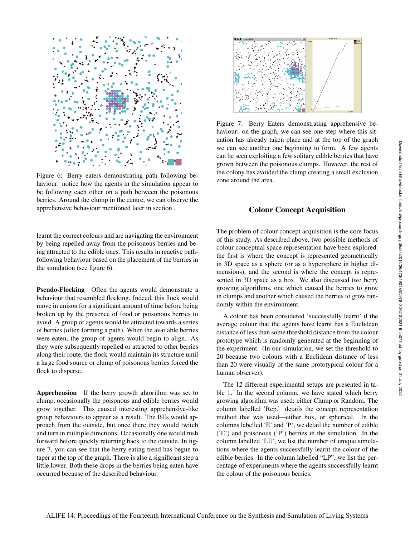

Figure 6: Berry eaters demonstrating path following behaviour: notice how the agents in the simulation appear to be following each other on a path between the poisonous berries. Around the clump in the centre, we can observe the apprehensive behaviour mentioned later in section .

learnt the correct colours and are navigating the environment by being repelled away from the poisonous berries and being attracted to the edible ones. This results in reactive pathfollowing behaviour based on the placement of the berries in the simulation (see figure 6).

Pseudo-Flocking Often the agents would demonstrate a behaviour that resembled flocking. Indeed, this flock would move in unison for a significant amount of time before being broken up by the presence of food or poisonous berries to avoid. A group of agents would be attracted towards a series of berries (often forming a path). When the available berries were eaten, the group of agents would begin to align. As they were subsequently repelled or attracted to other berries along their route, the flock would maintain its structure until a large food source or clump of poisonous berries forced the flock to disperse.

Apprehension If the berry growth algorithm was set to clump, occasionally the poisonous and edible berries would grow together. This caused interesting apprehensive-like group behaviours to appear as a result. The BEs would approach from the outside, but once there they would twitch and turn in multiple directions. Occasionally one would rush forward before quickly returning back to the outside. In figure 7, you can see that the berry eating trend has begun to taper at the top of the graph. There is also a significant step a little lower. Both these drops in the berries being eaten have occurred because of the described behaviour.



Figure 7: Berry Eaters demonstrating apprehensive behaviour: on the graph, we can see one step where this situation has already taken place and at the top of the graph we can see another one beginning to form. A few agents can be seen exploiting a few solitary edible berries that have grown between the poisonous clumps. However, the rest of the colony has avoided the clump creating a small exclusion zone around the area.

# Colour Concept Acquisition

The problem of colour concept acquisition is the core focus of this study. As described above, two possible methods of colour conceptual space representation have been explored: the first is where the concept is represented geometrically in 3D space as a sphere (or as a hypersphere in higher dimensions), and the second is where the concept is represented in 3D space as a box. We also discussed two berry growing algorithms, one which caused the berries to grow in clumps and another which caused the berries to grow randomly within the environment.

A colour has been considered 'successfully learnt' if the average colour that the agents have learnt has a Euclidean distance of less than some threshold distance from the colour prototype which is randomly generated at the beginning of the experiment. (In our simulation, we set the threshold to 20 because two colours with a Euclidean distance of less than 20 were visually of the same prototypical colour for a human observer).

The 12 different experimental setups are presented in table 1. In the second column, we have stated which berry growing algorithm was used: either Clump or Random. The column labelled 'Rep.' details the concept representation method that was used—either box, or spherical. In the columns labelled 'E' and 'P', we detail the number of edible ('E') and poisonous ('P') berries in the simulation. In the column labelled 'LE', we list the number of unique simulations where the agents successfully learnt the colour of the edible berries. In the column labelled "LP", we list the percentage of experiments where the agents successfully learnt the colour of the poisonous berries.